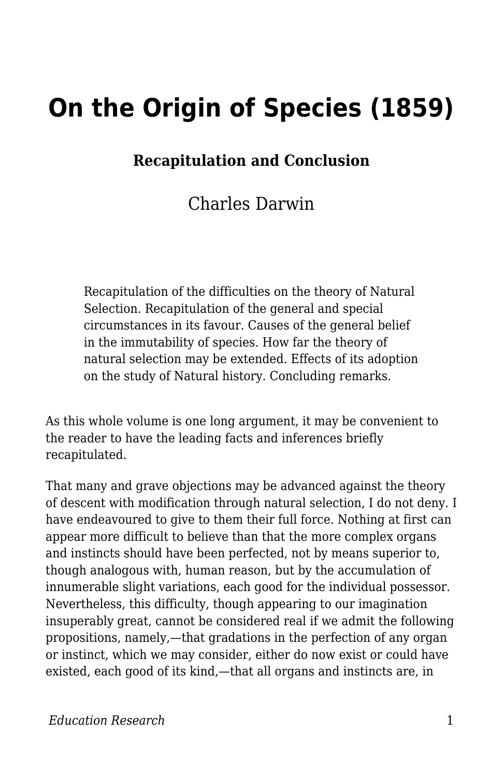## **On the Origin of Species (1859)**

## **Recapitulation and Conclusion**

## Charles Darwin

Recapitulation of the difficulties on the theory of Natural Selection. Recapitulation of the general and special circumstances in its favour. Causes of the general belief in the immutability of species. How far the theory of natural selection may be extended. Effects of its adoption on the study of Natural history. Concluding remarks.

As this whole volume is one long argument, it may be convenient to the reader to have the leading facts and inferences briefly recapitulated.

That many and grave objections may be advanced against the theory of descent with modification through natural selection, I do not deny. I have endeavoured to give to them their full force. Nothing at first can appear more difficult to believe than that the more complex organs and instincts should have been perfected, not by means superior to, though analogous with, human reason, but by the accumulation of innumerable slight variations, each good for the individual possessor. Nevertheless, this difficulty, though appearing to our imagination insuperably great, cannot be considered real if we admit the following propositions, namely,—that gradations in the perfection of any organ or instinct, which we may consider, either do now exist or could have existed, each good of its kind,—that all organs and instincts are, in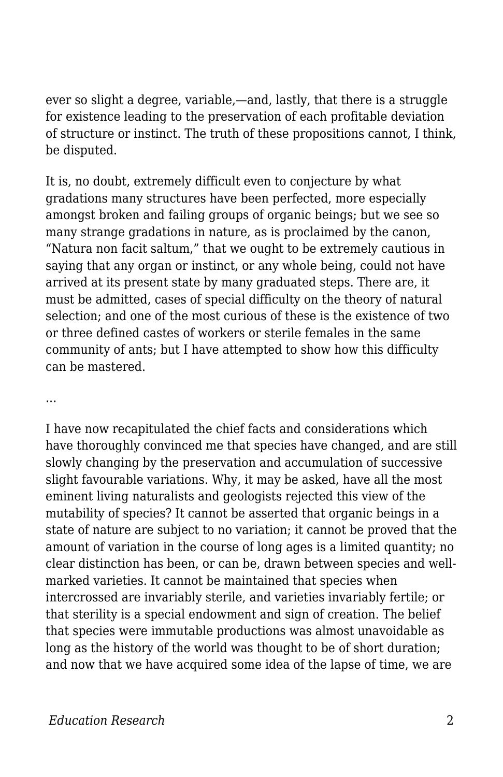ever so slight a degree, variable,—and, lastly, that there is a struggle for existence leading to the preservation of each profitable deviation of structure or instinct. The truth of these propositions cannot, I think, be disputed.

It is, no doubt, extremely difficult even to conjecture by what gradations many structures have been perfected, more especially amongst broken and failing groups of organic beings; but we see so many strange gradations in nature, as is proclaimed by the canon, "Natura non facit saltum," that we ought to be extremely cautious in saying that any organ or instinct, or any whole being, could not have arrived at its present state by many graduated steps. There are, it must be admitted, cases of special difficulty on the theory of natural selection; and one of the most curious of these is the existence of two or three defined castes of workers or sterile females in the same community of ants; but I have attempted to show how this difficulty can be mastered.

...

I have now recapitulated the chief facts and considerations which have thoroughly convinced me that species have changed, and are still slowly changing by the preservation and accumulation of successive slight favourable variations. Why, it may be asked, have all the most eminent living naturalists and geologists rejected this view of the mutability of species? It cannot be asserted that organic beings in a state of nature are subject to no variation; it cannot be proved that the amount of variation in the course of long ages is a limited quantity; no clear distinction has been, or can be, drawn between species and wellmarked varieties. It cannot be maintained that species when intercrossed are invariably sterile, and varieties invariably fertile; or that sterility is a special endowment and sign of creation. The belief that species were immutable productions was almost unavoidable as long as the history of the world was thought to be of short duration; and now that we have acquired some idea of the lapse of time, we are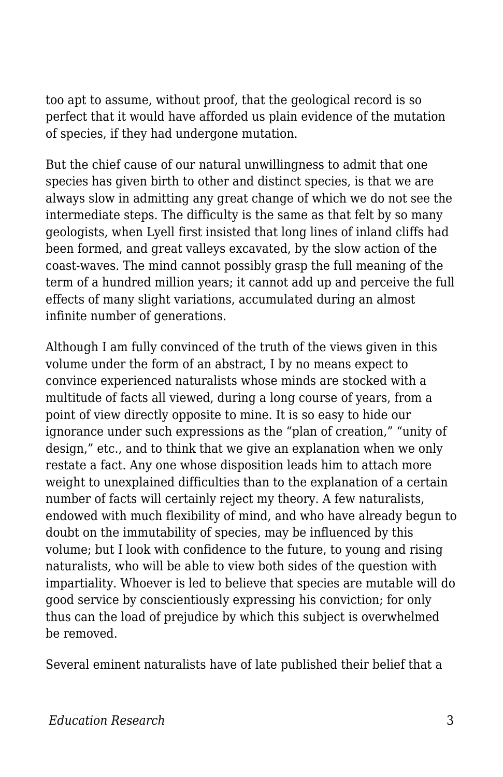too apt to assume, without proof, that the geological record is so perfect that it would have afforded us plain evidence of the mutation of species, if they had undergone mutation.

But the chief cause of our natural unwillingness to admit that one species has given birth to other and distinct species, is that we are always slow in admitting any great change of which we do not see the intermediate steps. The difficulty is the same as that felt by so many geologists, when Lyell first insisted that long lines of inland cliffs had been formed, and great valleys excavated, by the slow action of the coast-waves. The mind cannot possibly grasp the full meaning of the term of a hundred million years; it cannot add up and perceive the full effects of many slight variations, accumulated during an almost infinite number of generations.

Although I am fully convinced of the truth of the views given in this volume under the form of an abstract, I by no means expect to convince experienced naturalists whose minds are stocked with a multitude of facts all viewed, during a long course of years, from a point of view directly opposite to mine. It is so easy to hide our ignorance under such expressions as the "plan of creation," "unity of design," etc., and to think that we give an explanation when we only restate a fact. Any one whose disposition leads him to attach more weight to unexplained difficulties than to the explanation of a certain number of facts will certainly reject my theory. A few naturalists, endowed with much flexibility of mind, and who have already begun to doubt on the immutability of species, may be influenced by this volume; but I look with confidence to the future, to young and rising naturalists, who will be able to view both sides of the question with impartiality. Whoever is led to believe that species are mutable will do good service by conscientiously expressing his conviction; for only thus can the load of prejudice by which this subject is overwhelmed be removed.

Several eminent naturalists have of late published their belief that a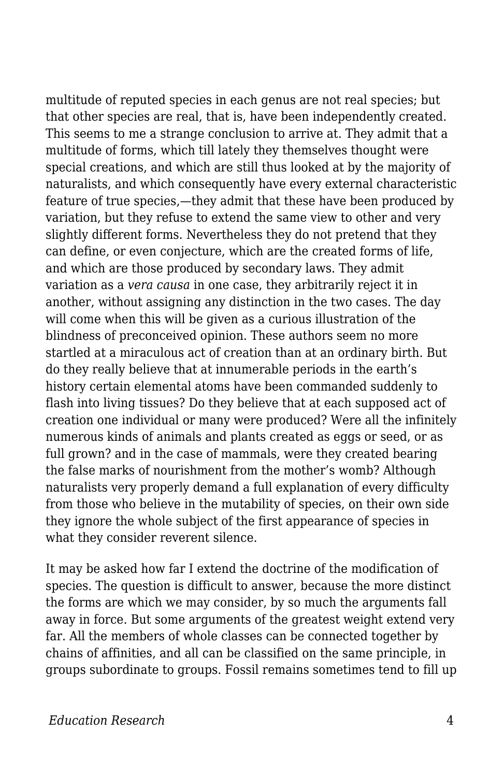multitude of reputed species in each genus are not real species; but that other species are real, that is, have been independently created. This seems to me a strange conclusion to arrive at. They admit that a multitude of forms, which till lately they themselves thought were special creations, and which are still thus looked at by the majority of naturalists, and which consequently have every external characteristic feature of true species,—they admit that these have been produced by variation, but they refuse to extend the same view to other and very slightly different forms. Nevertheless they do not pretend that they can define, or even conjecture, which are the created forms of life, and which are those produced by secondary laws. They admit variation as a *vera causa* in one case, they arbitrarily reject it in another, without assigning any distinction in the two cases. The day will come when this will be given as a curious illustration of the blindness of preconceived opinion. These authors seem no more startled at a miraculous act of creation than at an ordinary birth. But do they really believe that at innumerable periods in the earth's history certain elemental atoms have been commanded suddenly to flash into living tissues? Do they believe that at each supposed act of creation one individual or many were produced? Were all the infinitely numerous kinds of animals and plants created as eggs or seed, or as full grown? and in the case of mammals, were they created bearing the false marks of nourishment from the mother's womb? Although naturalists very properly demand a full explanation of every difficulty from those who believe in the mutability of species, on their own side they ignore the whole subject of the first appearance of species in what they consider reverent silence.

It may be asked how far I extend the doctrine of the modification of species. The question is difficult to answer, because the more distinct the forms are which we may consider, by so much the arguments fall away in force. But some arguments of the greatest weight extend very far. All the members of whole classes can be connected together by chains of affinities, and all can be classified on the same principle, in groups subordinate to groups. Fossil remains sometimes tend to fill up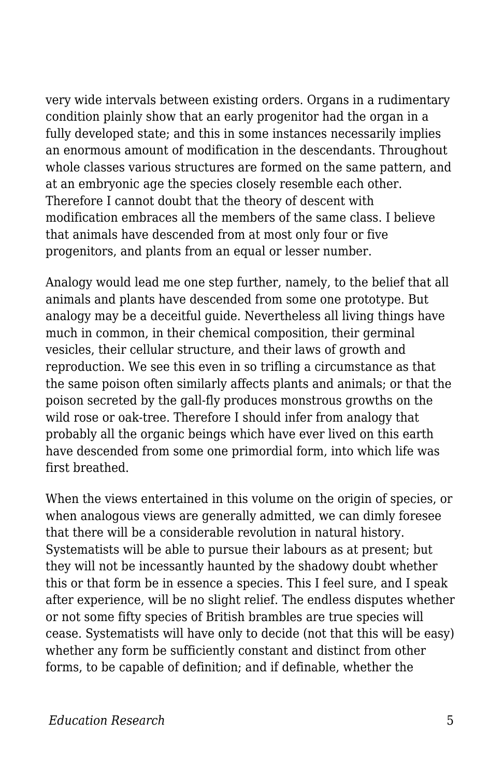very wide intervals between existing orders. Organs in a rudimentary condition plainly show that an early progenitor had the organ in a fully developed state; and this in some instances necessarily implies an enormous amount of modification in the descendants. Throughout whole classes various structures are formed on the same pattern, and at an embryonic age the species closely resemble each other. Therefore I cannot doubt that the theory of descent with modification embraces all the members of the same class. I believe that animals have descended from at most only four or five progenitors, and plants from an equal or lesser number.

Analogy would lead me one step further, namely, to the belief that all animals and plants have descended from some one prototype. But analogy may be a deceitful guide. Nevertheless all living things have much in common, in their chemical composition, their germinal vesicles, their cellular structure, and their laws of growth and reproduction. We see this even in so trifling a circumstance as that the same poison often similarly affects plants and animals; or that the poison secreted by the gall-fly produces monstrous growths on the wild rose or oak-tree. Therefore I should infer from analogy that probably all the organic beings which have ever lived on this earth have descended from some one primordial form, into which life was first breathed.

When the views entertained in this volume on the origin of species, or when analogous views are generally admitted, we can dimly foresee that there will be a considerable revolution in natural history. Systematists will be able to pursue their labours as at present; but they will not be incessantly haunted by the shadowy doubt whether this or that form be in essence a species. This I feel sure, and I speak after experience, will be no slight relief. The endless disputes whether or not some fifty species of British brambles are true species will cease. Systematists will have only to decide (not that this will be easy) whether any form be sufficiently constant and distinct from other forms, to be capable of definition; and if definable, whether the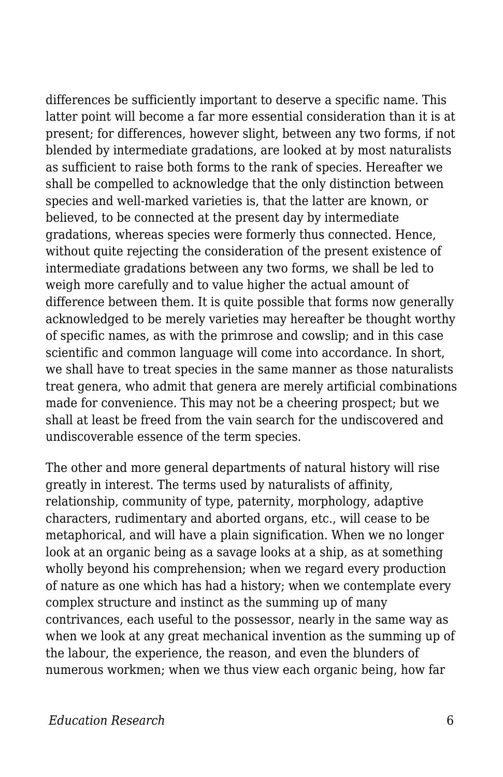differences be sufficiently important to deserve a specific name. This latter point will become a far more essential consideration than it is at present; for differences, however slight, between any two forms, if not blended by intermediate gradations, are looked at by most naturalists as sufficient to raise both forms to the rank of species. Hereafter we shall be compelled to acknowledge that the only distinction between species and well-marked varieties is, that the latter are known, or believed, to be connected at the present day by intermediate gradations, whereas species were formerly thus connected. Hence, without quite rejecting the consideration of the present existence of intermediate gradations between any two forms, we shall be led to weigh more carefully and to value higher the actual amount of difference between them. It is quite possible that forms now generally acknowledged to be merely varieties may hereafter be thought worthy of specific names, as with the primrose and cowslip; and in this case scientific and common language will come into accordance. In short, we shall have to treat species in the same manner as those naturalists treat genera, who admit that genera are merely artificial combinations made for convenience. This may not be a cheering prospect; but we shall at least be freed from the vain search for the undiscovered and undiscoverable essence of the term species.

The other and more general departments of natural history will rise greatly in interest. The terms used by naturalists of affinity, relationship, community of type, paternity, morphology, adaptive characters, rudimentary and aborted organs, etc., will cease to be metaphorical, and will have a plain signification. When we no longer look at an organic being as a savage looks at a ship, as at something wholly beyond his comprehension; when we regard every production of nature as one which has had a history; when we contemplate every complex structure and instinct as the summing up of many contrivances, each useful to the possessor, nearly in the same way as when we look at any great mechanical invention as the summing up of the labour, the experience, the reason, and even the blunders of numerous workmen; when we thus view each organic being, how far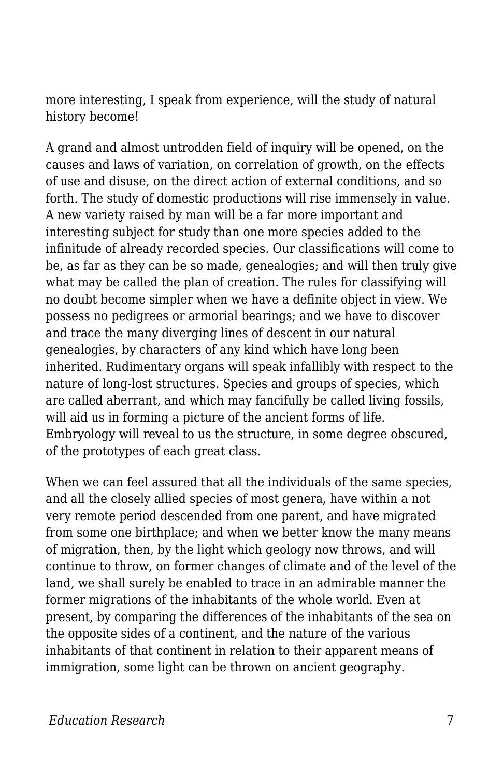more interesting, I speak from experience, will the study of natural history become!

A grand and almost untrodden field of inquiry will be opened, on the causes and laws of variation, on correlation of growth, on the effects of use and disuse, on the direct action of external conditions, and so forth. The study of domestic productions will rise immensely in value. A new variety raised by man will be a far more important and interesting subject for study than one more species added to the infinitude of already recorded species. Our classifications will come to be, as far as they can be so made, genealogies; and will then truly give what may be called the plan of creation. The rules for classifying will no doubt become simpler when we have a definite object in view. We possess no pedigrees or armorial bearings; and we have to discover and trace the many diverging lines of descent in our natural genealogies, by characters of any kind which have long been inherited. Rudimentary organs will speak infallibly with respect to the nature of long-lost structures. Species and groups of species, which are called aberrant, and which may fancifully be called living fossils, will aid us in forming a picture of the ancient forms of life. Embryology will reveal to us the structure, in some degree obscured, of the prototypes of each great class.

When we can feel assured that all the individuals of the same species, and all the closely allied species of most genera, have within a not very remote period descended from one parent, and have migrated from some one birthplace; and when we better know the many means of migration, then, by the light which geology now throws, and will continue to throw, on former changes of climate and of the level of the land, we shall surely be enabled to trace in an admirable manner the former migrations of the inhabitants of the whole world. Even at present, by comparing the differences of the inhabitants of the sea on the opposite sides of a continent, and the nature of the various inhabitants of that continent in relation to their apparent means of immigration, some light can be thrown on ancient geography.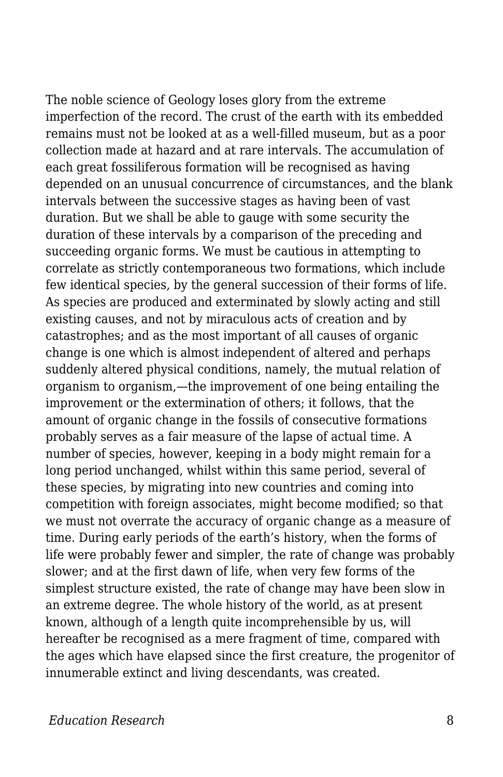The noble science of Geology loses glory from the extreme imperfection of the record. The crust of the earth with its embedded remains must not be looked at as a well-filled museum, but as a poor collection made at hazard and at rare intervals. The accumulation of each great fossiliferous formation will be recognised as having depended on an unusual concurrence of circumstances, and the blank intervals between the successive stages as having been of vast duration. But we shall be able to gauge with some security the duration of these intervals by a comparison of the preceding and succeeding organic forms. We must be cautious in attempting to correlate as strictly contemporaneous two formations, which include few identical species, by the general succession of their forms of life. As species are produced and exterminated by slowly acting and still existing causes, and not by miraculous acts of creation and by catastrophes; and as the most important of all causes of organic change is one which is almost independent of altered and perhaps suddenly altered physical conditions, namely, the mutual relation of organism to organism,—the improvement of one being entailing the improvement or the extermination of others; it follows, that the amount of organic change in the fossils of consecutive formations probably serves as a fair measure of the lapse of actual time. A number of species, however, keeping in a body might remain for a long period unchanged, whilst within this same period, several of these species, by migrating into new countries and coming into competition with foreign associates, might become modified; so that we must not overrate the accuracy of organic change as a measure of time. During early periods of the earth's history, when the forms of life were probably fewer and simpler, the rate of change was probably slower; and at the first dawn of life, when very few forms of the simplest structure existed, the rate of change may have been slow in an extreme degree. The whole history of the world, as at present known, although of a length quite incomprehensible by us, will hereafter be recognised as a mere fragment of time, compared with the ages which have elapsed since the first creature, the progenitor of innumerable extinct and living descendants, was created.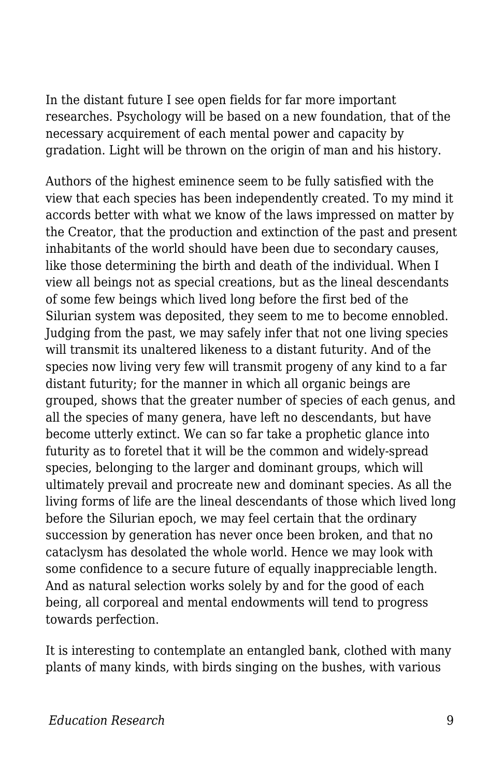In the distant future I see open fields for far more important researches. Psychology will be based on a new foundation, that of the necessary acquirement of each mental power and capacity by gradation. Light will be thrown on the origin of man and his history.

Authors of the highest eminence seem to be fully satisfied with the view that each species has been independently created. To my mind it accords better with what we know of the laws impressed on matter by the Creator, that the production and extinction of the past and present inhabitants of the world should have been due to secondary causes, like those determining the birth and death of the individual. When I view all beings not as special creations, but as the lineal descendants of some few beings which lived long before the first bed of the Silurian system was deposited, they seem to me to become ennobled. Judging from the past, we may safely infer that not one living species will transmit its unaltered likeness to a distant futurity. And of the species now living very few will transmit progeny of any kind to a far distant futurity; for the manner in which all organic beings are grouped, shows that the greater number of species of each genus, and all the species of many genera, have left no descendants, but have become utterly extinct. We can so far take a prophetic glance into futurity as to foretel that it will be the common and widely-spread species, belonging to the larger and dominant groups, which will ultimately prevail and procreate new and dominant species. As all the living forms of life are the lineal descendants of those which lived long before the Silurian epoch, we may feel certain that the ordinary succession by generation has never once been broken, and that no cataclysm has desolated the whole world. Hence we may look with some confidence to a secure future of equally inappreciable length. And as natural selection works solely by and for the good of each being, all corporeal and mental endowments will tend to progress towards perfection.

It is interesting to contemplate an entangled bank, clothed with many plants of many kinds, with birds singing on the bushes, with various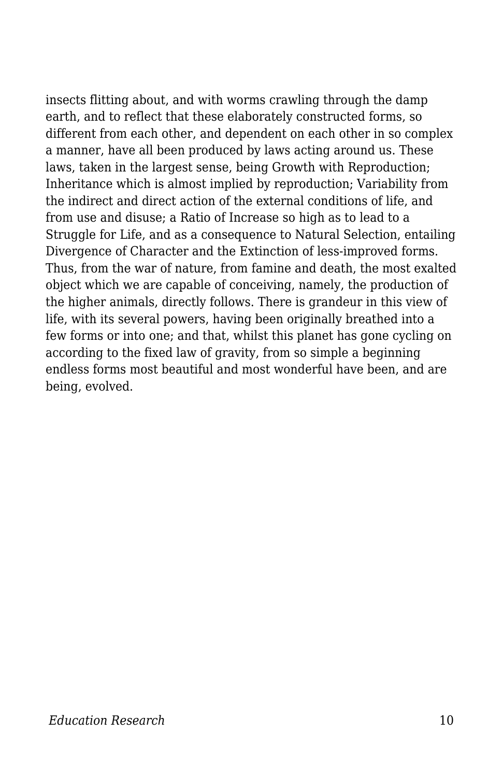insects flitting about, and with worms crawling through the damp earth, and to reflect that these elaborately constructed forms, so different from each other, and dependent on each other in so complex a manner, have all been produced by laws acting around us. These laws, taken in the largest sense, being Growth with Reproduction; Inheritance which is almost implied by reproduction; Variability from the indirect and direct action of the external conditions of life, and from use and disuse; a Ratio of Increase so high as to lead to a Struggle for Life, and as a consequence to Natural Selection, entailing Divergence of Character and the Extinction of less-improved forms. Thus, from the war of nature, from famine and death, the most exalted object which we are capable of conceiving, namely, the production of the higher animals, directly follows. There is grandeur in this view of life, with its several powers, having been originally breathed into a few forms or into one; and that, whilst this planet has gone cycling on according to the fixed law of gravity, from so simple a beginning endless forms most beautiful and most wonderful have been, and are being, evolved.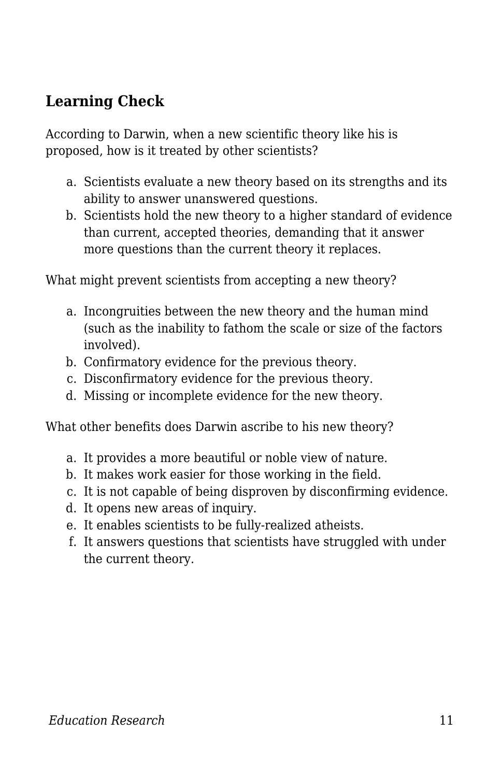## **Learning Check**

According to Darwin, when a new scientific theory like his is proposed, how is it treated by other scientists?

- a. Scientists evaluate a new theory based on its strengths and its ability to answer unanswered questions.
- b. Scientists hold the new theory to a higher standard of evidence than current, accepted theories, demanding that it answer more questions than the current theory it replaces.

What might prevent scientists from accepting a new theory?

- a. Incongruities between the new theory and the human mind (such as the inability to fathom the scale or size of the factors involved).
- b. Confirmatory evidence for the previous theory.
- c. Disconfirmatory evidence for the previous theory.
- d. Missing or incomplete evidence for the new theory.

What other benefits does Darwin ascribe to his new theory?

- a. It provides a more beautiful or noble view of nature.
- b. It makes work easier for those working in the field.
- c. It is not capable of being disproven by disconfirming evidence.
- d. It opens new areas of inquiry.
- e. It enables scientists to be fully-realized atheists.
- f. It answers questions that scientists have struggled with under the current theory.